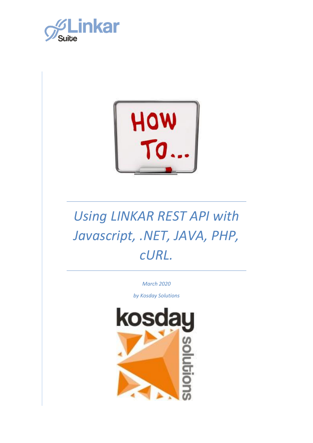



*March 2020*

*by Kosday Solutions*

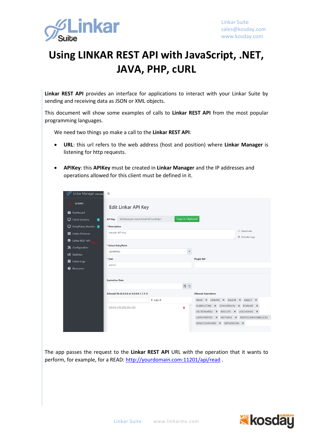

**Linkar REST API** provides an interface for applications to interact with your Linkar Suite by sending and receiving data as JSON or XML objects.

This document will show some examples of calls to **Linkar REST API** from the most popular programming languages.

We need two things yo make a call to the **Linkar REST API**:

- **URL**: this url refers to the web address (host and position) where **Linkar Manager** is listening for http requests.
- **APIKey**: this **APIKey** must be created in **Linkar Manager** and the IP addresses and operations allowed for this client must be defined in it.

| Linkar Manager 2002 Beta                 | Ξ                                                  |                                             |                       |
|------------------------------------------|----------------------------------------------------|---------------------------------------------|-----------------------|
| <b>ADMIN</b>                             | <b>Edit Linkar API Key</b>                         |                                             |                       |
| <b>2</b> Dashboard                       |                                                    |                                             |                       |
| $\Box$ Client Sessions<br>$\blacksquare$ | 289fb6deab144a1c83a018f7ccdfc8a7<br><b>API Key</b> | Copy to Clipboard                           |                       |
| EntryPoints Monitor                      | * Description                                      |                                             |                       |
| <b>H</b> Linkar Schemas                  | Deactivate<br>sample API Key                       |                                             |                       |
| Linkar REST API                          |                                                    |                                             | Activate Logs         |
| X Configuration                          | * Select EntryPoint                                |                                             |                       |
| <b>Latil Statistics</b>                  | <b>OMWINO</b>                                      | ۰                                           |                       |
| Linkar Logs                              | * User                                             | <b>Plugin Ref</b>                           |                       |
| <sup>2</sup> Resources                   | admin                                              |                                             |                       |
|                                          |                                                    |                                             |                       |
|                                          | <b>Expiration Date</b>                             |                                             |                       |
|                                          |                                                    | 自9                                          |                       |
|                                          | Allowed IPs (0.0.0.0 or 0.0.0.0-1.1.1.1)           | <b>Allowed Operations</b>                   |                       |
|                                          | + Add IP                                           | READ X UPDATE X DELETE X SELECT X           |                       |
|                                          | 0.0.0.0-255.255.255.255                            | SUBROUTINE X CONVERSION X FORMAT X<br>π     |                       |
|                                          |                                                    | DICTIONARIES X                              | EXECUTE X LKSCHEMAS X |
|                                          |                                                    | LKPROPERTIES X GETTABLE X RESETCOMMONBLOCKS |                       |
|                                          |                                                    | SENDCOMMAND X GETVERSION X                  |                       |
|                                          |                                                    |                                             |                       |

The app passes the request to the **Linkar REST API** URL with the operation that it wants to perform, for example, for a READ:<http://yourdomain.com:11201/api/read> .

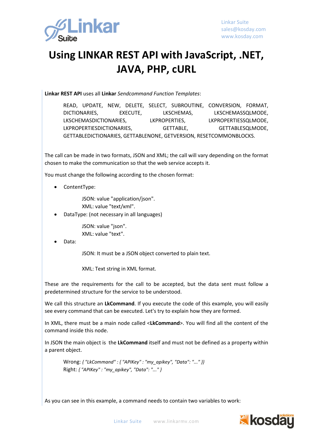

**Linkar REST API** uses all **Linkar** *Sendcommand Function Templates*:

READ, UPDATE, NEW, DELETE, SELECT, SUBROUTINE, CONVERSION, FORMAT, DICTIONARIES, EXECUTE, LKSCHEMAS, LKSCHEMASSQLMODE, LKSCHEMASDICTIONARIES, LKPROPERTIES, LKPROPERTIESSQLMODE, LKPROPERTIESDICTIONARIES, GETTABLE, GETTABLESQLMODE, GETTABLEDICTIONARIES, GETTABLENONE, GETVERSION, RESETCOMMONBLOCKS.

The call can be made in two formats, JSON and XML; the call will vary depending on the format chosen to make the communication so that the web service accepts it.

You must change the following according to the chosen format:

• ContentType:

JSON: value "application/json". XML: value "text/xml".

• DataType: (not necessary in all languages)

JSON: value "json". XML: value "text".

#### • Data:

JSON: It must be a JSON object converted to plain text.

XML: Text string in XML format.

These are the requirements for the call to be accepted, but the data sent must follow a predetermined structure for the service to be understood.

We call this structure an **LkCommand**. If you execute the code of this example, you will easily see every command that can be executed. Let's try to explain how they are formed.

In XML, there must be a main node called <**LkCommand**>. You will find all the content of the command inside this node.

In JSON the main object is the **LkCommand** itself and must not be defined as a property within a parent object.

Wrong: *{ "LkCommand" : { "APIKey" : "my\_apikey", "Data": "..." }}* Right: *{ "APIKey" : "my\_apikey", "Data": "..." }*

As you can see in this example, a command needs to contain two variables to work:

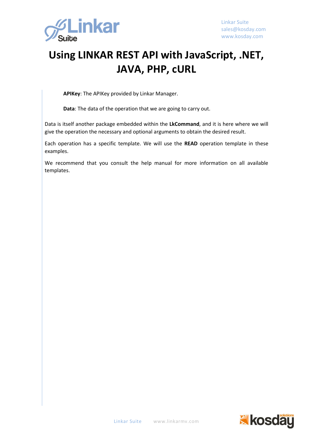

**APIKey**: The APIKey provided by Linkar Manager.

**Data**: The data of the operation that we are going to carry out.

Data is itself another package embedded within the **LkCommand**, and it is here where we will give the operation the necessary and optional arguments to obtain the desired result.

Each operation has a specific template. We will use the **READ** operation template in these examples.

We recommend that you consult the help manual for more information on all available templates.

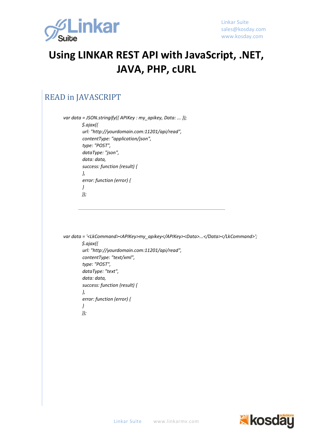

#### READ in JAVASCRIPT

*var data = JSON.stringify({ APIKey : my\_apikey, Data: ... }); \$.ajax({ url: "http://yourdomain.com:11201/api/read", contentType: "application/json", type: "POST", dataType: "json", data: data, success: function (result) { }, error: function (error) { } });*

```
var data = '<LkCommand><APIKey>my_apikey</APIKey><Data>...</Data></LkCommand>';
        $.ajax({
          url: "http://yourdomain.com:11201/api/read",
          contentType: "text/xml",
          type: "POST",
          dataType: "text",
          data: data,
         success: function (result) {
         },
         error: function (error) {
         }
        });
```
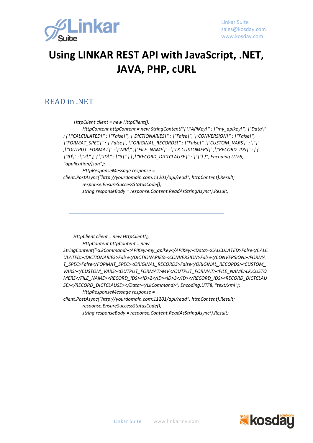

#### READ in .NET

*HttpClient client = new HttpClient();*

 *HttpContent httpContent = new StringContent("{ \"APIKey\" : \"my\_apikey\", \"Data\" : { \"CALCULATED\" : \"False\", \"DICTIONARIES\" : \"False\", \"CONVERSION\" : \"False\", \"FORMAT\_SPEC\" : \"False\", \"ORIGINAL\_RECORDS\" : \"False\" ,\"CUSTOM\_VARS\" : \"\" ,\"OUTPUT\_FORMAT\" : \"MV\" ,\"FILE\_NAME\" : \"LK.CUSTOMERS\" ,\"RECORD\_IDS\" : [ { \"ID\" : \"2\" }, { \"ID\" : \"3\" } ] ,\"RECORD\_DICTCLAUSE\" : \"\"} }", Encoding.UTF8, "application/json");* 

 *HttpResponseMessage response = client.PostAsync("http://yourdomain.com:11201/api/read", httpContent).Result; response.EnsureSuccessStatusCode(); string responseBody = response.Content.ReadAsStringAsync().Result;*

 *HttpClient client = new HttpClient(); HttpContent httpContent = new StringContent("<LkCommand><APIKey>my\_apikey</APIKey><Data><CALCULATED>False</CALC ULATED><DICTIONARIES>False</DICTIONARIES><CONVERSION>False</CONVERSION><FORMA T\_SPEC>False</FORMAT\_SPEC><ORIGINAL\_RECORDS>False</ORIGINAL\_RECORDS><CUSTOM\_ VARS></CUSTOM\_VARS><OUTPUT\_FORMAT>MV</OUTPUT\_FORMAT><FILE\_NAME>LK.CUSTO MERS</FILE\_NAME><RECORD\_IDS><ID>2</ID><ID>3</ID></RECORD\_IDS><RECORD\_DICTCLAU SE></RECORD\_DICTCLAUSE></Data></LkCommand>", Encoding.UTF8, "text/xml"); HttpResponseMessage response = client.PostAsync("http://yourdomain.com:11201/api/read", httpContent).Result; response.EnsureSuccessStatusCode();*

 *string responseBody = response.Content.ReadAsStringAsync().Result;*

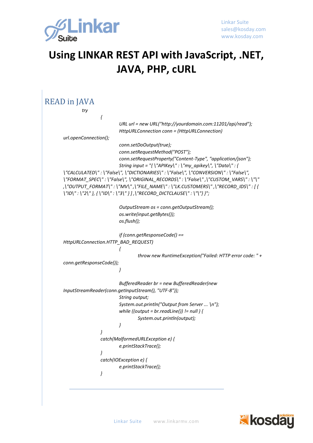

```
READ in JAVA
                try
                         {
                                 URL url = new URL("http://yourdomain.com:11201/api/read");
                                 HttpURLConnection conn = (HttpURLConnection) 
        url.openConnection();
                                 conn.setDoOutput(true);
                                 conn.setRequestMethod("POST");
                                 conn.setRequestProperty("Content-Type", "application/json");
                                 String input = "{ \"APIKey\" : \"my_apikey\", \"Data\" : { 
        \"CALCULATED\" : \"False\", \"DICTIONARIES\" : \"False\", \"CONVERSION\" : \"False\", 
        \"FORMAT_SPEC\" : \"False\", \"ORIGINAL_RECORDS\" : \"False\" ,\"CUSTOM_VARS\" : \"\" 
        ,\"OUTPUT_FORMAT\" : \"MV\" ,\"FILE_NAME\" : \"LK.CUSTOMERS\" ,\"RECORD_IDS\" : [ { 
        \"ID\" : \"2\" }, { \"ID\" : \"3\" } ] ,\"RECORD_DICTCLAUSE\" : \"\"} }";
                                 OutputStream os = conn.getOutputStream();
                                 os.write(input.getBytes());
                                 os.flush();
                                 if (conn.getResponseCode() == 
        HttpURLConnection.HTTP_BAD_REQUEST)
                                 {
                                          throw new RuntimeException("Failed: HTTP error code: " + 
        conn.getResponseCode());
                                 }
                                 BufferedReader br = new BufferedReader(new 
        InputStreamReader(conn.getInputStream(), "UTF-8"));
                                 String output;
                                 System.out.println("Output from Server ... \n");
                                 while ((output = br.readLine()) != null ) {
                                          System.out.println(output);
                                 }
                         }
                         catch(MalformedURLException e) {
                                 e.printStackTrace();
                         }
                         catch(IOException e) {
                                 e.printStackTrace();
                         }
```
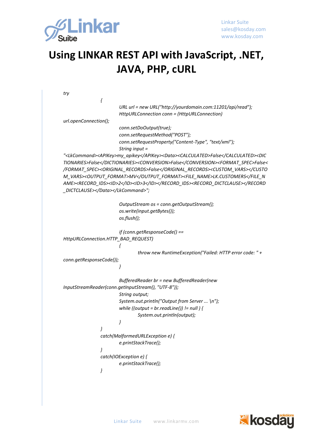

```
try
                {
                        URL url = new URL("http://yourdomain.com:11201/api/read");
                        HttpURLConnection conn = (HttpURLConnection) 
url.openConnection();
                        conn.setDoOutput(true);
                        conn.setRequestMethod("POST");
                        conn.setRequestProperty("Content-Type", "text/xml");
                        String input = 
"<LkCommand><APIKey>my_apikey</APIKey><Data><CALCULATED>False</CALCULATED><DIC
TIONARIES>False</DICTIONARIES><CONVERSION>False</CONVERSION><FORMAT_SPEC>False<
/FORMAT_SPEC><ORIGINAL_RECORDS>False</ORIGINAL_RECORDS><CUSTOM_VARS></CUSTO
M_VARS><OUTPUT_FORMAT>MV</OUTPUT_FORMAT><FILE_NAME>LK.CUSTOMERS</FILE_N
AME><RECORD_IDS><ID>2</ID><ID>3</ID></RECORD_IDS><RECORD_DICTCLAUSE></RECORD
_DICTCLAUSE></Data></LkCommand>";
                        OutputStream os = conn.getOutputStream();
                        os.write(input.getBytes());
                        os.flush();
                        if (conn.getResponseCode() == 
HttpURLConnection.HTTP_BAD_REQUEST)
                        {
                                throw new RuntimeException("Failed: HTTP error code: " + 
conn.getResponseCode());
                       }
                        BufferedReader br = new BufferedReader(new 
InputStreamReader(conn.getInputStream(), "UTF-8"));
                       String output;
                        System.out.println("Output from Server ... \n");
                        while ((output = br.readLine()) != null ) {
                               System.out.println(output);
                        }
                }
                catch(MalformedURLException e) {
                        e.printStackTrace();
                }
                catch(IOException e) {
                       e.printStackTrace();
                }
```
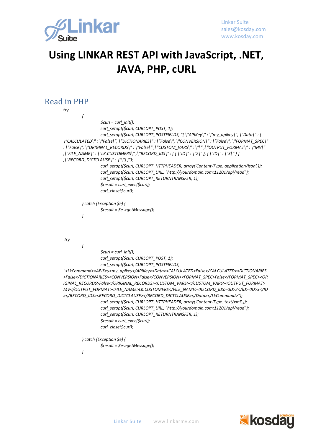

| Read in PHP                                                          |                                                                                                                                                                                                                                                                                                                                                                                                                                                                                                                                                                                                                                                              |
|----------------------------------------------------------------------|--------------------------------------------------------------------------------------------------------------------------------------------------------------------------------------------------------------------------------------------------------------------------------------------------------------------------------------------------------------------------------------------------------------------------------------------------------------------------------------------------------------------------------------------------------------------------------------------------------------------------------------------------------------|
| try                                                                  |                                                                                                                                                                                                                                                                                                                                                                                                                                                                                                                                                                                                                                                              |
| ł                                                                    |                                                                                                                                                                                                                                                                                                                                                                                                                                                                                                                                                                                                                                                              |
| $\frac{1}{2}$ curl_init();                                           |                                                                                                                                                                                                                                                                                                                                                                                                                                                                                                                                                                                                                                                              |
|                                                                      | curl_setopt(\$curl, CURLOPT_POST, 1);                                                                                                                                                                                                                                                                                                                                                                                                                                                                                                                                                                                                                        |
| ,\"RECORD_DICTCLAUSE\":\"\"} }");<br>$$result = curl\_exec ($curl);$ | curl_setopt(\$curl, CURLOPT_POSTFIELDS, "{\"APIKey\":\"my_apikey\", \"Data\": {<br>\"CALCULATED\":\"False\",\"DICTIONARIES\":\"False\",\"CONVERSION\":\"False\",\"FORMAT_SPEC\"<br>:\"False\",\"ORIGINAL_RECORDS\":\"False\",\"CUSTOM_VARS\":\"\",\"OUTPUT_FORMAT\":\"MV\"<br>,\"FILE_NAME\":\"LK.CUSTOMERS\",\"RECORD_IDS\":[{\"ID\":\"2\"},{\"ID\":\"3\"}]<br>curl_setopt(\$curl, CURLOPT_HTTPHEADER, array('Content-Type: application/json',));<br>curl_setopt(\$curl, CURLOPT_URL, "http://yourdomain.com:11201/api/read");<br>curl_setopt(\$curl, CURLOPT_RETURNTRANSFER, 1);                                                                           |
| curl_close(\$curl);                                                  |                                                                                                                                                                                                                                                                                                                                                                                                                                                                                                                                                                                                                                                              |
|                                                                      |                                                                                                                                                                                                                                                                                                                                                                                                                                                                                                                                                                                                                                                              |
| $\}$ catch (Exception \$e) {                                         |                                                                                                                                                                                                                                                                                                                                                                                                                                                                                                                                                                                                                                                              |
| $$result = $e$-3getMessage();$                                       |                                                                                                                                                                                                                                                                                                                                                                                                                                                                                                                                                                                                                                                              |
| }                                                                    |                                                                                                                                                                                                                                                                                                                                                                                                                                                                                                                                                                                                                                                              |
| try<br>ł<br>$\frac{1}{2}$ curl = curl_init();                        |                                                                                                                                                                                                                                                                                                                                                                                                                                                                                                                                                                                                                                                              |
|                                                                      | curl_setopt(\$curl, CURLOPT_POST, 1);                                                                                                                                                                                                                                                                                                                                                                                                                                                                                                                                                                                                                        |
|                                                                      | curl_setopt(\$curl, CURLOPT_POSTFIELDS,                                                                                                                                                                                                                                                                                                                                                                                                                                                                                                                                                                                                                      |
| \$result = curl_exec(\$curl);<br>curl_close(\$curl);                 | " <lkcommand><apikey>my_apikey</apikey><data><calculated>False</calculated><dictionaries<br>&gt;False<conversion>False</conversion><format_spec>False</format_spec><or<br>IGINAL_RECORDS&gt;False<custom_vars></custom_vars><output_format><br/>MV</output_format><file_name>LK.CUSTOMERS</file_name><record_ids><id>2</id><id>3&gt;</id></record_ids><record_dictclause></record_dictclause></or<br></dictionaries<br></data></lkcommand> ");<br>curl_setopt(\$curl, CURLOPT_HTTPHEADER, array('Content-Type: text/xml',));<br>curl_setopt(\$curl, CURLOPT_URL, "http://yourdomain.com:11201/api/read");<br>curl_setopt(\$curl, CURLOPT_RETURNTRANSFER, 1); |
| } catch (Exception \$e) {<br>$$result = $e$-3getMessage();$<br>}     |                                                                                                                                                                                                                                                                                                                                                                                                                                                                                                                                                                                                                                                              |

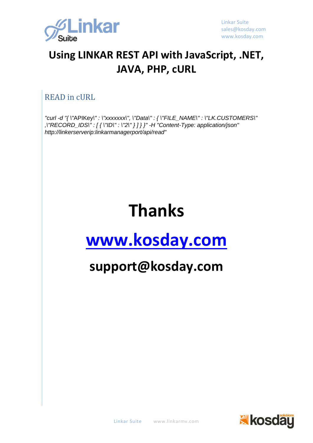

#### READ in cURL

*"curl -d "{ \"*APIKey*\" : \"xxxxxxx\", \"Data\" : { \"FILE\_NAME\" : \"LK.CUSTOMERS\" ,\"RECORD\_IDS\" : [ { \"ID\" : \"2\" } ] } }" -H "Content-Type: application/json" http://linkerserverip:linkarmanagerport/api/read"*

# **Thanks**

## **[www.kosday.com](http://www.kosday.com/)**

## **support@kosday.com**